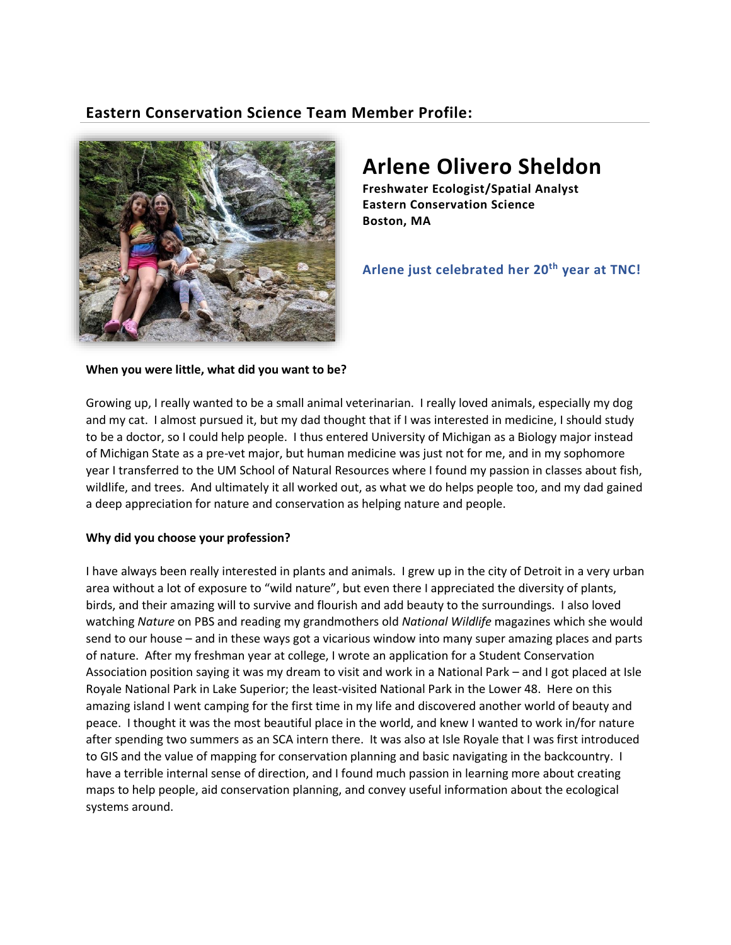# **Eastern Conservation Science Team Member Profile:**



# **Arlene Olivero Sheldon**

**Freshwater Ecologist/Spatial Analyst Eastern Conservation Science Boston, MA**

**Arlene just celebrated her 20th year at TNC!** 

**When you were little, what did you want to be?**

Growing up, I really wanted to be a small animal veterinarian. I really loved animals, especially my dog and my cat. I almost pursued it, but my dad thought that if I was interested in medicine, I should study to be a doctor, so I could help people. I thus entered University of Michigan as a Biology major instead of Michigan State as a pre-vet major, but human medicine was just not for me, and in my sophomore year I transferred to the UM School of Natural Resources where I found my passion in classes about fish, wildlife, and trees. And ultimately it all worked out, as what we do helps people too, and my dad gained a deep appreciation for nature and conservation as helping nature and people.

## **Why did you choose your profession?**

I have always been really interested in plants and animals. I grew up in the city of Detroit in a very urban area without a lot of exposure to "wild nature", but even there I appreciated the diversity of plants, birds, and their amazing will to survive and flourish and add beauty to the surroundings. I also loved watching *Nature* on PBS and reading my grandmothers old *National Wildlife* magazines which she would send to our house – and in these ways got a vicarious window into many super amazing places and parts of nature. After my freshman year at college, I wrote an application for a Student Conservation Association position saying it was my dream to visit and work in a National Park – and I got placed at Isle Royale National Park in Lake Superior; the least-visited National Park in the Lower 48. Here on this amazing island I went camping for the first time in my life and discovered another world of beauty and peace. I thought it was the most beautiful place in the world, and knew I wanted to work in/for nature after spending two summers as an SCA intern there. It was also at Isle Royale that I was first introduced to GIS and the value of mapping for conservation planning and basic navigating in the backcountry. I have a terrible internal sense of direction, and I found much passion in learning more about creating maps to help people, aid conservation planning, and convey useful information about the ecological systems around.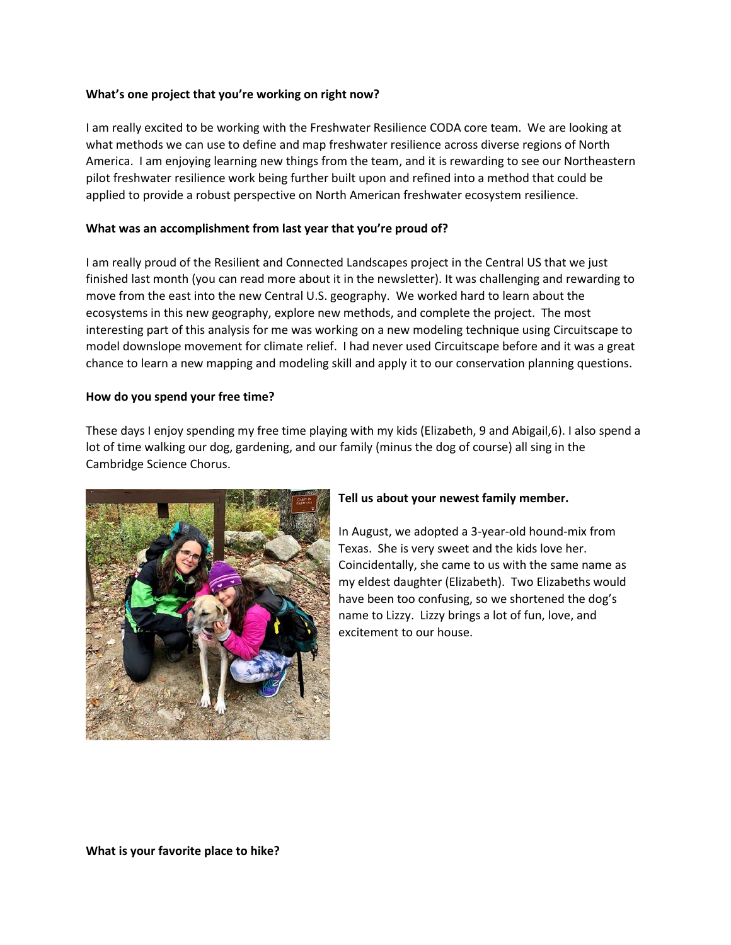#### **What's one project that you're working on right now?**

I am really excited to be working with the Freshwater Resilience CODA core team. We are looking at what methods we can use to define and map freshwater resilience across diverse regions of North America. I am enjoying learning new things from the team, and it is rewarding to see our Northeastern pilot freshwater resilience work being further built upon and refined into a method that could be applied to provide a robust perspective on North American freshwater ecosystem resilience.

#### **What was an accomplishment from last year that you're proud of?**

I am really proud of the Resilient and Connected Landscapes project in the Central US that we just finished last month (you can read more about it in the newsletter). It was challenging and rewarding to move from the east into the new Central U.S. geography. We worked hard to learn about the ecosystems in this new geography, explore new methods, and complete the project. The most interesting part of this analysis for me was working on a new modeling technique using Circuitscape to model downslope movement for climate relief. I had never used Circuitscape before and it was a great chance to learn a new mapping and modeling skill and apply it to our conservation planning questions.

#### **How do you spend your free time?**

These days I enjoy spending my free time playing with my kids (Elizabeth, 9 and Abigail,6). I also spend a lot of time walking our dog, gardening, and our family (minus the dog of course) all sing in the Cambridge Science Chorus.



## **Tell us about your newest family member.**

In August, we adopted a 3-year-old hound-mix from Texas. She is very sweet and the kids love her. Coincidentally, she came to us with the same name as my eldest daughter (Elizabeth). Two Elizabeths would have been too confusing, so we shortened the dog's name to Lizzy. Lizzy brings a lot of fun, love, and excitement to our house.